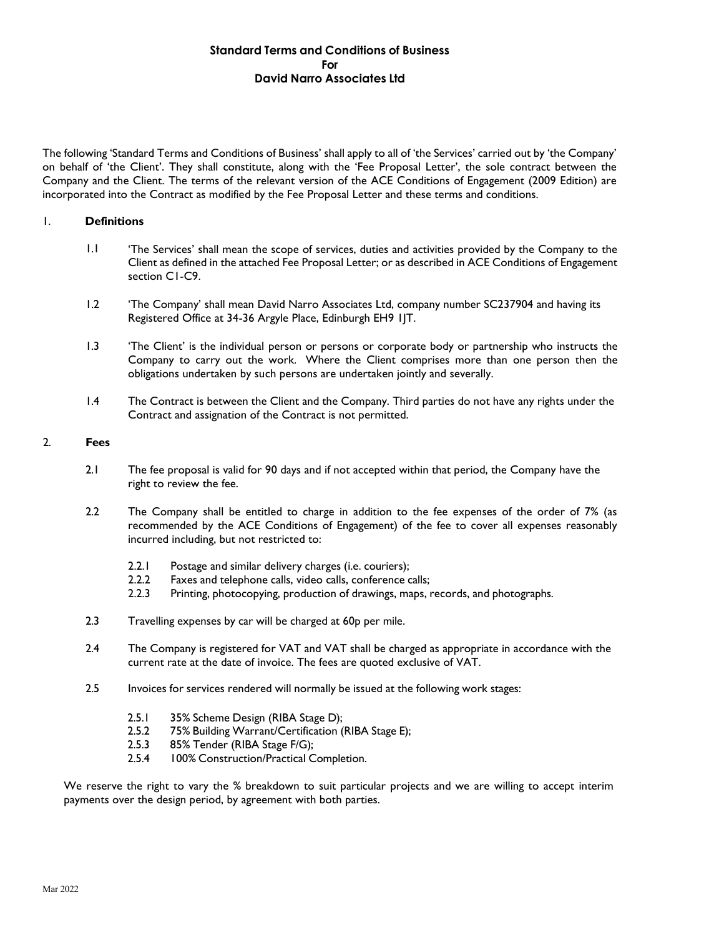# **Standard Terms and Conditions of Business For David Narro Associates Ltd**

The following 'Standard Terms and Conditions of Business' shall apply to all of 'the Services' carried out by 'the Company' on behalf of 'the Client'. They shall constitute, along with the 'Fee Proposal Letter', the sole contract between the Company and the Client. The terms of the relevant version of the ACE Conditions of Engagement (2009 Edition) are incorporated into the Contract as modified by the Fee Proposal Letter and these terms and conditions.

### 1. **Definitions**

- 1.1 'The Services' shall mean the scope of services, duties and activities provided by the Company to the Client as defined in the attached Fee Proposal Letter; or as described in ACE Conditions of Engagement section C1-C9.
- 1.2 'The Company' shall mean David Narro Associates Ltd, company number SC237904 and having its Registered Office at 34-36 Argyle Place, Edinburgh EH9 1JT.
- 1.3 'The Client' is the individual person or persons or corporate body or partnership who instructs the Company to carry out the work. Where the Client comprises more than one person then the obligations undertaken by such persons are undertaken jointly and severally.
- 1.4 The Contract is between the Client and the Company. Third parties do not have any rights under the Contract and assignation of the Contract is not permitted.

# 2. **Fees**

- 2.1 The fee proposal is valid for 90 days and if not accepted within that period, the Company have the right to review the fee.
- 2.2 The Company shall be entitled to charge in addition to the fee expenses of the order of 7% (as recommended by the ACE Conditions of Engagement) of the fee to cover all expenses reasonably incurred including, but not restricted to:
	- 2.2.1 Postage and similar delivery charges (i.e. couriers);<br>2.2.2 Faxes and telephone calls, video calls, conference o
	- Faxes and telephone calls, video calls, conference calls;
	- 2.2.3 Printing, photocopying, production of drawings, maps, records, and photographs.
- 2.3 Travelling expenses by car will be charged at 60p per mile.
- 2.4 The Company is registered for VAT and VAT shall be charged as appropriate in accordance with the current rate at the date of invoice. The fees are quoted exclusive of VAT.
- 2.5 Invoices for services rendered will normally be issued at the following work stages:
	- 2.5.1 35% Scheme Design (RIBA Stage D);
	- 2.5.2 75% Building Warrant/Certification (RIBA Stage E);
	- 2.5.3 85% Tender (RIBA Stage F/G);
	- 2.5.4 100% Construction/Practical Completion.

We reserve the right to vary the % breakdown to suit particular projects and we are willing to accept interim payments over the design period, by agreement with both parties.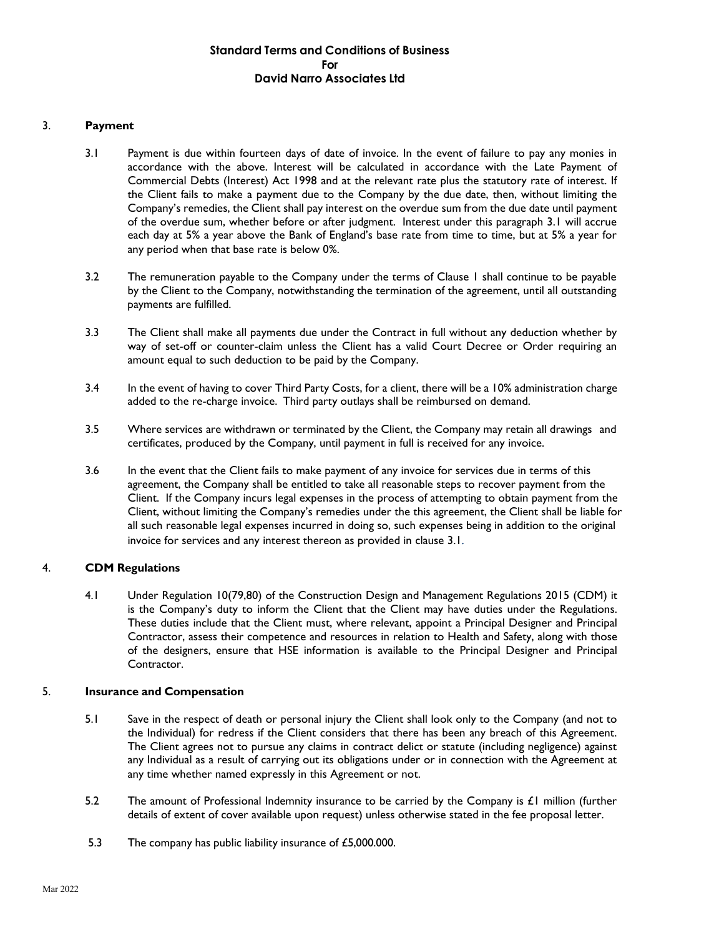# **Standard Terms and Conditions of Business For David Narro Associates Ltd**

## 3. **Payment**

- 3.1 Payment is due within fourteen days of date of invoice. In the event of failure to pay any monies in accordance with the above. Interest will be calculated in accordance with the Late Payment of Commercial Debts (Interest) Act 1998 and at the relevant rate plus the statutory rate of interest. If the Client fails to make a payment due to the Company by the due date, then, without limiting the Company's remedies, the Client shall pay interest on the overdue sum from the due date until payment of the overdue sum, whether before or after judgment. Interest under this paragraph 3.1 will accrue each day at 5% a year above the Bank of England's base rate from time to time, but at 5% a year for any period when that base rate is below 0%.
- 3.2 The remuneration payable to the Company under the terms of Clause 1 shall continue to be payable by the Client to the Company, notwithstanding the termination of the agreement, until all outstanding payments are fulfilled.
- 3.3 The Client shall make all payments due under the Contract in full without any deduction whether by way of set-off or counter-claim unless the Client has a valid Court Decree or Order requiring an amount equal to such deduction to be paid by the Company.
- 3.4 In the event of having to cover Third Party Costs, for a client, there will be a 10% administration charge added to the re-charge invoice. Third party outlays shall be reimbursed on demand.
- 3.5 Where services are withdrawn or terminated by the Client, the Company may retain all drawings and certificates, produced by the Company, until payment in full is received for any invoice.
- 3.6 In the event that the Client fails to make payment of any invoice for services due in terms of this agreement, the Company shall be entitled to take all reasonable steps to recover payment from the Client. If the Company incurs legal expenses in the process of attempting to obtain payment from the Client, without limiting the Company's remedies under the this agreement, the Client shall be liable for all such reasonable legal expenses incurred in doing so, such expenses being in addition to the original invoice for services and any interest thereon as provided in clause 3.1*.*

### 4. **CDM Regulations**

4.1 Under Regulation 10(79,80) of the Construction Design and Management Regulations 2015 (CDM) it is the Company's duty to inform the Client that the Client may have duties under the Regulations. These duties include that the Client must, where relevant, appoint a Principal Designer and Principal Contractor, assess their competence and resources in relation to Health and Safety, along with those of the designers, ensure that HSE information is available to the Principal Designer and Principal Contractor.

### 5. **Insurance and Compensation**

- 5.1 Save in the respect of death or personal injury the Client shall look only to the Company (and not to the Individual) for redress if the Client considers that there has been any breach of this Agreement. The Client agrees not to pursue any claims in contract delict or statute (including negligence) against any Individual as a result of carrying out its obligations under or in connection with the Agreement at any time whether named expressly in this Agreement or not.
- 5.2 The amount of Professional Indemnity insurance to be carried by the Company is £1 million (further details of extent of cover available upon request) unless otherwise stated in the fee proposal letter.
- 5.3 The company has public liability insurance of £5,000.000.